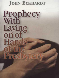## **JOHN ECKHARDT**

**Prophecy**<br>With Laying<br>on of **Hands resbyte**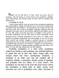Nealect not the gift that is in thee, which was given thee by prophecy, with the laying on of the hands of the presbytery. Meditate upon these things; give thyself wholly to them; that thy profiting may appear to all.

## 1 Timothy 4:14,15

There is great need for local churches to have prophetic presbyteries that will strengthen, release, and help the church move into a greater level of breakthrough and ministry. I am surprised by the number of churches that have never had a time for prophetic presbytery, although this was practiced in the early church, and has been restored to the modern church for over fifty years. Churches must have a revelation of the power of prophetic presbyteries and set aside time for them periodically. David Blomgren's book, Prophetic Gatherings In The Church, is a classic on the subject of prophetic presbyteries, but unfortunately, is now out of print. Steve Schultz has recently released a practical manual on prophetic presbyteries, and has a vision to see this practice restored to the church. I recommend that churches in the I.M.P.A.C.T. Network of churches have prophetic presbyteries to release potential candidates into their place in the Body of Christ, and help release them into their destinies.

Prophetic presbytery is a time when presbyters (elders) lay hands on and prophesy over selected believers to speak the will of God over them, impart gifts, and release them into their membership ministries. A presbyter is an elder who has the resident gift of prophecy. Ideally, a presbytery should consist of apostles and prophets who are elders of a local church. The presbyters do not have to be from the local church where the presbytery is being held. In other words, local churches can call in presbyters from other churches to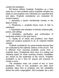conduct the presbytery.

Bill Hamon defines Prophetic Presbytery as a time when two or more prophets and/or prophetic ministers lay hands on and prophesy over individuals at a specified time and place. Prophetic presbyteries are conducted for several reasons:

1 . Revealing a Saint's membership ministry in the Body of Christ.

2 . Ministering a prophetic rhema word of God to individuals.

3. Impartation and activation of divinely ordained gifts, graces, and callings.

4 . Revelation, clarification, and confirmation of leadership ministry in the local church.

5 . "Laying on of hands and prophecy" over those called and properly prepared to be an ordained fivefold minister.

Prophetic presbyteries are governmental because they are conducted by the authority (elders) of the church. This is different from receiving prophetic words from a prophetic team. Presbyteries have more of a setting and releasing aspect for those receiving ministry. Candidates are chosen by the leadership of the church. Prophetic presbytery is not a time for anyone and everyone to receive a word.

The presbytery team can consist of two or more presbyters. Three or four presbyters are ideal. Each presbyter takes time to prophesy over the candidates before the entire congregation. Each presbyter has a part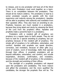to release, and no one presbyter will have all of the Word of the Lord. Presbyters must work together as a team. There is no competition between the presbyters. They should all be mature (elders). The presbytery is lead by a senior presbyter (usually an apostle with the most experience and maturity among the presbyters). Apostles will be able to prophesy with authority and revelation from their apostolic office. They also have an anointing to set. Prophets, however, are much needed in a presbytery, because they bring detail and clarity by releasing the Word of the Lord from the prophet's office. Apostles and prophets make a powerful team in a presbytery.

Presbyters with a resident gift of prophecy can prophecy on a regular basis to God's people. They do not have to wait for a special anointing to prophesy, but can prophesy because of the resident gift of prophecy. The simple gift of prophecy is for edification, exhortation, and comfort. Apostles and prophets can speak direction, correction, and revelation, because of other gifts (e.g. word of wisdom, word of knowledge, faith) that operate through their offices. A prophetic presbytery will go beyond edification, exhortation, and comfort, and include impartation, direction, confirmation, and revelation, because of the resident gift of prophecy in the presbyters, and the strength and anointing of their offices.

The strength of a prophetic presbytery will depend upon the presbyters and candidates. The more mature and gifted the presbyters, and the more qualified the candidates, the stronger the prophetic flow will be. The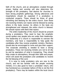faith of the church, and an atmosphere created through prayer, fasting and worship will also determine the strength of the presbytery. God desires for churches to have strong prophetic gatherings. Strong utterances and impartations should be expected if a presbytery is conducted properly. These should be times of great refreshing and blessing for the entire church. Even those not receiving ministry can rejoice and be blessed by seeing others in the body receive. As others in the body are strengthened and released, the entire church is blessed. We should rejoice with them that rejoice.

The entire leadership of the church should be present during a presbytery. They need to hear the prophetic words spoken over people who are under their leadership. The leadership of a church is responsible to oversee the members, and have a responsibility to help guide the candidates after they receive prophetic ministry. Members should also be encouraged to come and give their support. The corporate anointing is needed to have a strong presbytery. Those not receiving ministry are not to sit idly by and be spectators of what is transpiring. They should help create an atmosphere, through their faith and prayer, which will assist the presbyters and candidates to receive the full blessing of the Lord.

It is wise to invite presbyters who are new to the church, and not too familiar with the people receiving ministry. It is also good to have a presbyter return, who has functioned as a presbyter before (if this is not the first presbytery). There may be leaders within the local church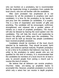who can function on a presbytery, but is recommended that the leadership brings in presbyters from outside the local church, who are not familiar with the candidates.

After each presbyter has prophesied (it is not necessary for all the presbyters to prophecy over each candidate), it is time for the presbytery to lay hands on and pray over the candidate (or candidates, if a couple). This is a time of impartation and transfer of gifts and anointing. The candidate will be encouraged, confirmed, strengthened, and released into a greater sphere of ministry as a result of prophetic presbytery. The church will also be blessed by hearing the word spoken over the candidates. This will help the church and leadership to discern the gifting and calling upon the candidates. The church will be built up because key people (candidates) have received prophetic presbytery.

Candidates should be members of the local church selected by its leadership. They should be saved, Spirit filled, and evidence spiritual maturity. Prophetic presbytery is not a time to fix problems that believers may have. It is unfair to the presbyters to select people who are not qualified for this kind of ministry. It is recommended that the candidates be members of a local church for at least a year, to prevent people from joining a church just to receive this kind of ministry.

We believe that all believers can receive prophecy. Churches today are raising up prophetic teams to accomplish this. However, prophetic presbytery is a time in which only a select few can receive in depth prophetic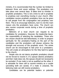ministry. It is recommended that the number be limited to between three and seven settings. The presbytery can take place over several days. It takes time to minister in prophetic presbytery. This is not a time to call in prophets to prophesy over everything moving in your church. After candidates receive prophetic presbytery time can be given to call people from the congregation and prophesy over them. This is to encourage believers, but it is not the main reason why the presbyters have come. The church can also receive corporate words during a time of prophetic presbytery.

Believers of a local church can request to be candidates for presbytery. However, the leadership bears the responsibility of selecting the candidates. Those who are chosen should be told beforehand, in order to prepare spiritually for the presbytery Fasting on the part of the candidates and the presbyters will always enhance the strength and accuracy of the prophetic word. The whole church can be encouraged to fast prior to a presbytery. This will create an atmosphere for the Holy Spirit to speak to the church.

People who do not desire prophetic presbytery should not be forced to receive it. If a spouse desires presbytery and their mate does not, the spouse should not necessarily be excluded. If one mate is not as qualified as the other, it is advisable for them still to receive rninistry as a couple (providing both are saved). If a mate is unsaved, the believing mate can still receive presbytery.

Candidates can be potential leaders or potential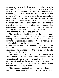ministers of the church. They can be people whom the leadership feels are about to enter into a new level of ministry. Large churches will have an abundance of candidates, and they must be chosen carefully and prayerfully. There may be a tendency for some people to feel overlooked, but the time frame must be understood by all, and no one should take offense if they are not chosen. A church can have a presbytery yearly or bi-yearly depending on the need. Leaders should spend time teaching and preparing the church if they have never had a presbytery. The church needs to have revelation and understand the importance of such a time.

The presbytery should occur in the local church setting. This is not to be done in a cell group or home meeting. The entire church should know the importance of this time and participate if possible. A short message can be given before a presbytery, and worship should be done at intervals to keep the prophetic spirit strong. All prophecies should be taped and later reviewed by the leadership. The candidate has the responsibility to take heed to the word spoken.

The foundational scripture for prophetic presbytery is First Timothy 4:14. Paul admonishes Timothy not to neglect the gift that he received through prophecy with the laying on of hands of the presbytery. Timothy would be able to profit as he meditated upon the prophetic words and gave himself wholly to them.

This practice remained absent from the church for many generations until the Latter Rain Movement of the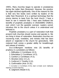1940's. Many churches began to operate in presbyteries during the Latter Rain Movement. However, the practice has again declined significantly. One of the reasons for this is that very few books were written by leaders of the Latter Rain Movement. It is a spiritual technology that the enemy desires to keep from the local church. I have a heart to see it restored fully. I have seen firsthand the benefits of prophetic presbytery in CRUSADERS CHURCH, over which I am the apostolic overseer. Leaders cannot introduce this to the church unless it is understood and believed in.

Prophetic presbytery is a part of restoration truth that present truth churches should receive and operate in. We are living in times of restoration. Restoration churches are recovering truth, revelation, and ministry that has been absent or neglected in the church for generations. With restored truth comes a greater ability for breakthrough and release of ministry.

Da vid Blomgren mentions nine (9) benefits of prophecy in a presbytery as follows:

- 1. Edification (1 Corinthians 14:3).
- 2. Exhortation (1 Corinthians 14:3).
- 3. Comfort (1 Corinthians 14:3).
- 4. Direction (Acts 13:1,2).
- 5. Conferral (1 Timothy 4:14).
- 6. Confirmation (Acts 15:32).

7. Correction (1 Corinthians 14:31); learn is Greek word mathaneo meaning corrective learning.

8. Judgment (Hosiah 6:5).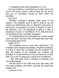9. Equipping of the saints (Ephesians 4:11,12).

And now brethren, I commend you to God, and to the word of his grace, which is able to build you up, and to give you an inheritance among all them which are sanctified.

Acts  $20.32$ 

Prophetic presbytery releases great grace to the hearers. The prophetic word is able to build us up and release our inheritances unto us. Believers need grace to serve God. An abundance of grace is needed to reign in life (Romans 5:17). An abundance of gifts is a sign of abundance of grace (1 Corinthians 1:4-7). Gifts and grace are imparted during a prophetic presbytery.

So I prophesied as he commanded me, and the breath came into them, and they lived, and stood upon their feet, an exceeding great army.

Ezekiel 37:10

The prophetic word is more than information. The prophetic word releases life (breath). Prophetic presbytery is a time in which life is breathed into the recipient. The gifts and destiny of the candidate are revealed and activated. It causes believers to rise up (stand up on their feet). It is a key to raising up a strong army of believers.

...that thou shalt meet a company of prophets...and they shall prophesy:

And the Spirit of the LORD will come upon thee, and thou shalt prophesy with them, and shalt be turned into another man.

1 Samuel 10:5,6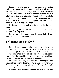Leaders are changed when they come into contact with the company of the prophets. Saul was released as the first king of Israel through the prophetic anointing. Prophetic presbytery is a time to release potential leaders into their callings and ministries. The strength of prophetic presbytery is the joining together of the anointings of the team. The team members strengthen and stir up one another as they minister together.

Let the prophets speak two or three, and let the other judge.

If anything be revealed to another that sitteth by, let the first hold his peace.

For ye may all prophesy one by one, that all may learn, and all may be comforted.

## **1 Corinthians 14:29-31**

Prophetic presbytery is a time for learning the will of God and being comforted. It is a time to allow the prophets to speak. The presbyters minister as a team.

As one ministers, others can receive revelation concerning the candidates. In this way the candidates benefit from the ministry of several prophets.

Prophetic presbytery is a spiritual technology to help leaders build strong churches. This is a day of restoration. Churches must appropriate all the benefits that God's gifts bring to the church.

I believe that churches around the world will take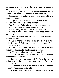advantage of prophetic presbytery and move into apostolic strength and power.

David Blomgren mentions thirteen (13) benefits of the Laying on of Hands and Prophecy by the Presbytery:

1. A greater realization of each one's responsibility to function in a ministry.

2. A greater appreciation for the various ministries in the Body of Christ and the need for them.

3. A "setting in" of ministries in the local assembly.

4. Finding one's place in the Body of Christ.

5. Confirming the will of God to the candidate.

6 . The further development of ministries within the local body.

7. Specialized assistance through prophetic revelation and individual lives.

8 . Strengthening of the whole church in a better understanding of God's ways through a receiving of the prophetic ministry.

9 . The spiritual level of the whole church raised through seeking the Lord in fasting and prayer.

10. The whole church receiving prophetic direction.

11. The imparting of gifts and blessings to believers by the laying on of hands.

1 2 . A greater recognition of God's order in the authority of the local leadership as overseers of the lives of the people.

13. A deposit of faith in the hearts of the congregation to see God's purposes to be fulfilled.

The Hebrew word for laying on of hands is samak. This word implies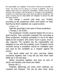the responsibility and obligation of the person receiving the imposition of hands. The Greek word for laying on of hands is epitithemi. This word implies contact which is a channel for transmission. Timothy received a gift through (via) prophecy with the laying on of hands of the presbytery. Prophecy is a channel through which grace and gifts are transferred. The person receiving has the responsibility and obligation to steward the gifts and grace received.

This charge I commit unto thee, son Timothy, according to the prophecies which went before on thee, that thou by them mightiest war a good warfare.

1 Timothy 1:18

Fight the good fight in the spirit of those predictions.

1 Timothy 1:18 (TCNT)

The prophecies Timothy received helped him to war a good warfare. Paul reminded (charged) him according to these prophecies. Prophetic presbytery is not to be taken lightly by the recipient. Unto whom much is given, much is also required. The recipient has the responsibility and obligation to war with the prophetic word. Prophetic words recorded during a presbytery should be meditated upon and used by the candidate as a weapon against the enemy.

And Jacob called unto his sons, and said, Gather yourselves together, that I may tell you that which shall befall you in the last days.

Gather yourselves together, and hear, ye sons of Jacob; and hearken unto Israel your father.

Genesis 49:1,2

Prophetic gatherings are times when destinies are revealed and released. This can be seen when Jacob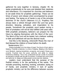gathered his sons together in Genesis, chapter 49. He spoke prophetically to his sons and detailed their destinies and inheritance. It is important for churches and believers to set aside times for prophetic gatherings. These can be times of power and release when accompanied by prayer and fasting. The laying on of hands is one of the principle doctrines of the church (Hebrews 6:1,2). Prophecy has always been a vehicle through which the Lord has given direction, blessing, activation, and impartation to his people. Sometimes the prophetic word spoken during a time of presbytery will not be fully fulfilled until years later. With prophetic presbytery, believers can prepare for the future by aligning themselves with the Word of the Lord. The Word of the Lord will be tested, but a believer walking in faith and fulfillment will see the desired result.

And this is the blessing, wherewith Moses the man of God blessed the children of Israel before his death.

## Deuteronomy 33:1

Moses prophesied over the tribes of Israel. The Word of God calls it a blessing. Prophetic presbytery is a time of blessing. Blessing is the Hebrew word Berakah, meaning benediction, prosperity, and present. Moses was a prophet. Prophets have the grace, authority, and ability to release tremendous blessings. This is why presbyteries should consist of prophets as opposed to people with the gift of prophecy. Prophets have more grace and authority to release and bless people concerning their destinies.

Leaders must understand that the purpose of the fivefold ministry is for the perfecting of the saints. This includes preaching, teaching, training, activation, laying on of hands, and prophetic ministry. A lack of quality prophetic ministry can be the difference between success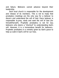and failure. Believers cannot advance beyond their leadership.

Each local church is responsible for the development and release of its members. This is not to imply that presbytery meetings are the only way for a believer to discern and understand the will of God. Every believer is responsible to pray, study and seek the will of God (for himself/herself). Prophetic presbytery is not for lazy believers who desire a "shortcut" to understanding God's will. However, it is a tremendous benefit for believers. Prophetic presbytery is a ministry given by God's grace to help us walk in God's will for our lives.